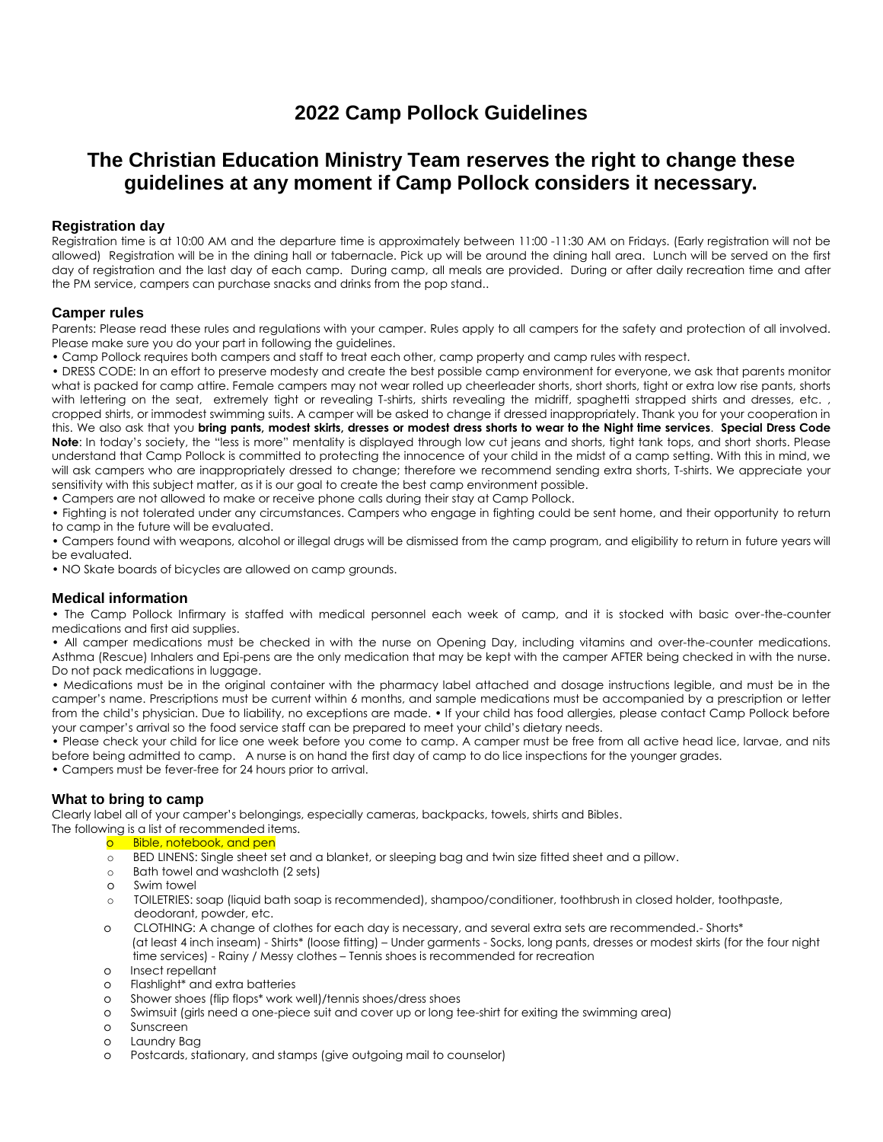# **2022 Camp Pollock Guidelines**

# **The Christian Education Ministry Team reserves the right to change these guidelines at any moment if Camp Pollock considers it necessary.**

## **Registration day**

Registration time is at 10:00 AM and the departure time is approximately between 11:00 -11:30 AM on Fridays. (Early registration will not be allowed) Registration will be in the dining hall or tabernacle. Pick up will be around the dining hall area. Lunch will be served on the first day of registration and the last day of each camp. During camp, all meals are provided. During or after daily recreation time and after the PM service, campers can purchase snacks and drinks from the pop stand..

#### **Camper rules**

Parents: Please read these rules and regulations with your camper. Rules apply to all campers for the safety and protection of all involved. Please make sure you do your part in following the guidelines.

• Camp Pollock requires both campers and staff to treat each other, camp property and camp rules with respect.

• DRESS CODE: In an effort to preserve modesty and create the best possible camp environment for everyone, we ask that parents monitor what is packed for camp attire. Female campers may not wear rolled up cheerleader shorts, short shorts, tight or extra low rise pants, shorts with lettering on the seat, extremely tight or revealing T-shirts, shirts revealing the midriff, spaghetti strapped shirts and dresses, etc., cropped shirts, or immodest swimming suits. A camper will be asked to change if dressed inappropriately. Thank you for your cooperation in this. We also ask that you **bring pants, modest skirts, dresses or modest dress shorts to wear to the Night time services**. **Special Dress Code Note**: In today's society, the "less is more" mentality is displayed through low cut jeans and shorts, tight tank tops, and short shorts. Please understand that Camp Pollock is committed to protecting the innocence of your child in the midst of a camp setting. With this in mind, we will ask campers who are inappropriately dressed to change; therefore we recommend sending extra shorts, T-shirts. We appreciate your sensitivity with this subject matter, as it is our goal to create the best camp environment possible.

• Campers are not allowed to make or receive phone calls during their stay at Camp Pollock.

• Fighting is not tolerated under any circumstances. Campers who engage in fighting could be sent home, and their opportunity to return to camp in the future will be evaluated.

• Campers found with weapons, alcohol or illegal drugs will be dismissed from the camp program, and eligibility to return in future years will be evaluated.

• NO Skate boards of bicycles are allowed on camp grounds.

#### **Medical information**

• The Camp Pollock Infirmary is staffed with medical personnel each week of camp, and it is stocked with basic over-the-counter medications and first aid supplies.

• All camper medications must be checked in with the nurse on Opening Day, including vitamins and over-the-counter medications. Asthma (Rescue) Inhalers and Epi-pens are the only medication that may be kept with the camper AFTER being checked in with the nurse. Do not pack medications in luggage.

• Medications must be in the original container with the pharmacy label attached and dosage instructions legible, and must be in the camper's name. Prescriptions must be current within 6 months, and sample medications must be accompanied by a prescription or letter from the child's physician. Due to liability, no exceptions are made. • If your child has food allergies, please contact Camp Pollock before your camper's arrival so the food service staff can be prepared to meet your child's dietary needs.

• Please check your child for lice one week before you come to camp. A camper must be free from all active head lice, larvae, and nits before being admitted to camp. A nurse is on hand the first day of camp to do lice inspections for the younger grades.

• Campers must be fever-free for 24 hours prior to arrival.

## **What to bring to camp**

Clearly label all of your camper's belongings, especially cameras, backpacks, towels, shirts and Bibles.

The following is a list of recommended items.

#### o Bible, notebook, and pen

- o BED LINENS: Single sheet set and a blanket, or sleeping bag and twin size fitted sheet and a pillow.
- o Bath towel and washcloth (2 sets)
- o Swim towel
- o TOILETRIES: soap (liquid bath soap is recommended), shampoo/conditioner, toothbrush in closed holder, toothpaste, deodorant, powder, etc.
- o CLOTHING: A change of clothes for each day is necessary, and several extra sets are recommended.- Shorts\* (at least 4 inch inseam) - Shirts\* (loose fitting) – Under garments - Socks, long pants, dresses or modest skirts (for the four night time services) - Rainy / Messy clothes – Tennis shoes is recommended for recreation
- o Insect repellant
- o Flashlight\* and extra batteries
- o Shower shoes (flip flops\* work well)/tennis shoes/dress shoes
- o Swimsuit (girls need a one-piece suit and cover up or long tee-shirt for exiting the swimming area)
- o Sunscreen
- o Laundry Bag
- o Postcards, stationary, and stamps (give outgoing mail to counselor)